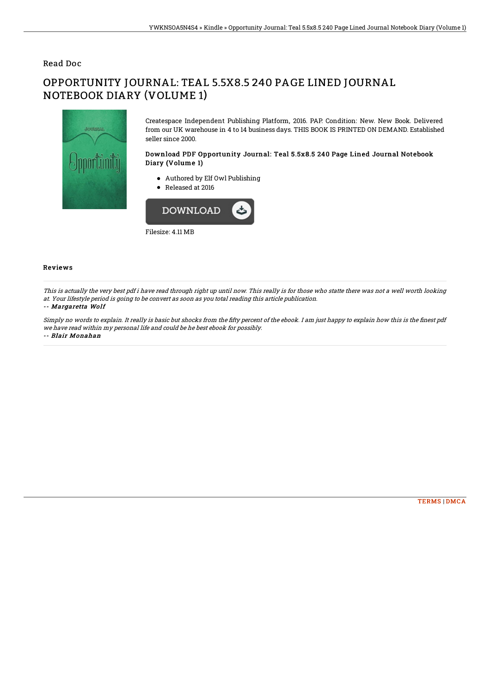### Read Doc

# OPPORTUNITY JOURNAL: TEAL 5.5X8.5 240 PAGE LINED JOURNAL NOTEBOOK DIARY (VOLUME 1)



Createspace Independent Publishing Platform, 2016. PAP. Condition: New. New Book. Delivered from our UK warehouse in 4 to 14 business days. THIS BOOK IS PRINTED ON DEMAND. Established seller since 2000.

#### Download PDF Opportunity Journal: Teal 5.5x8.5 240 Page Lined Journal Notebook Diary (Volume 1)

- Authored by Elf Owl Publishing
- Released at 2016



Filesize: 4.11 MB

#### Reviews

This is actually the very best pdf i have read through right up until now. This really is for those who statte there was not <sup>a</sup> well worth looking at. Your lifestyle period is going to be convert as soon as you total reading this article publication. -- Margaretta Wolf

Simply no words to explain. It really is basic but shocks from the fifty percent of the ebook. I am just happy to explain how this is the finest pdf we have read within my personal life and could be he best ebook for possibly. -- Blair Monahan